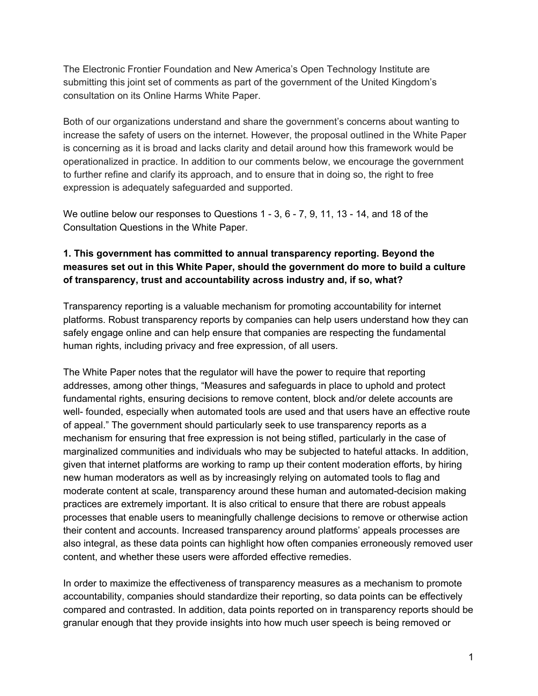The Electronic Frontier Foundation and New America's Open Technology Institute are submitting this joint set of comments as part of the government of the United Kingdom's consultation on its Online Harms White Paper.

Both of our organizations understand and share the government's concerns about wanting to increase the safety of users on the internet. However, the proposal outlined in the White Paper is concerning as it is broad and lacks clarity and detail around how this framework would be operationalized in practice. In addition to our comments below, we encourage the government to further refine and clarify its approach, and to ensure that in doing so, the right to free expression is adequately safeguarded and supported.

We outline below our responses to Questions 1 - 3, 6 - 7, 9, 11, 13 - 14, and 18 of the Consultation Questions in the White Paper.

## **1. This government has committed to annual transparency reporting. Beyond the measures set out in this White Paper, should the government do more to build a culture of transparency, trust and accountability across industry and, if so, what?**

Transparency reporting is a valuable mechanism for promoting accountability for internet platforms. Robust transparency reports by companies can help users understand how they can safely engage online and can help ensure that companies are respecting the fundamental human rights, including privacy and free expression, of all users.

The White Paper notes that the regulator will have the power to require that reporting addresses, among other things, "Measures and safeguards in place to uphold and protect fundamental rights, ensuring decisions to remove content, block and/or delete accounts are well- founded, especially when automated tools are used and that users have an effective route of appeal." The government should particularly seek to use transparency reports as a mechanism for ensuring that free expression is not being stifled, particularly in the case of marginalized communities and individuals who may be subjected to hateful attacks. In addition, given that internet platforms are working to ramp up their content moderation efforts, by hiring new human moderators as well as by increasingly relying on automated tools to flag and moderate content at scale, transparency around these human and automated-decision making practices are extremely important. It is also critical to ensure that there are robust appeals processes that enable users to meaningfully challenge decisions to remove or otherwise action their content and accounts. Increased transparency around platforms' appeals processes are also integral, as these data points can highlight how often companies erroneously removed user content, and whether these users were afforded effective remedies.

In order to maximize the effectiveness of transparency measures as a mechanism to promote accountability, companies should standardize their reporting, so data points can be effectively compared and contrasted. In addition, data points reported on in transparency reports should be granular enough that they provide insights into how much user speech is being removed or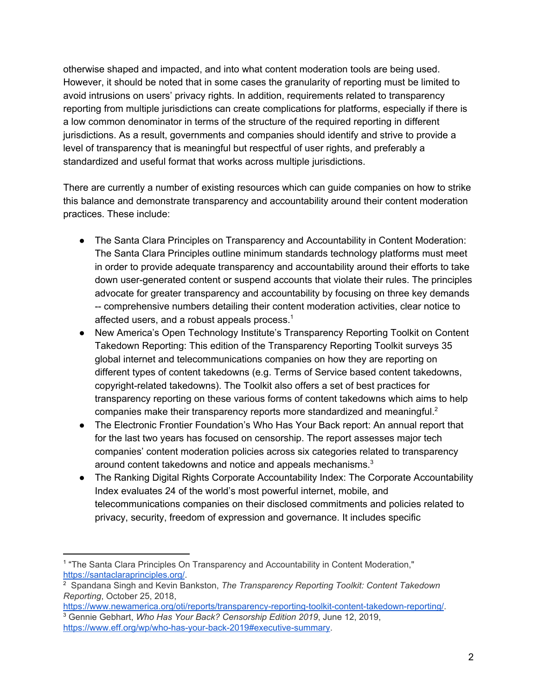otherwise shaped and impacted, and into what content moderation tools are being used. However, it should be noted that in some cases the granularity of reporting must be limited to avoid intrusions on users' privacy rights. In addition, requirements related to transparency reporting from multiple jurisdictions can create complications for platforms, especially if there is a low common denominator in terms of the structure of the required reporting in different jurisdictions. As a result, governments and companies should identify and strive to provide a level of transparency that is meaningful but respectful of user rights, and preferably a standardized and useful format that works across multiple jurisdictions.

There are currently a number of existing resources which can guide companies on how to strike this balance and demonstrate transparency and accountability around their content moderation practices. These include:

- The Santa Clara Principles on Transparency and Accountability in Content Moderation: The Santa Clara Principles outline minimum standards technology platforms must meet in order to provide adequate transparency and accountability around their efforts to take down user-generated content or suspend accounts that violate their rules. The principles advocate for greater transparency and accountability by focusing on three key demands -- comprehensive numbers detailing their content moderation activities, clear notice to affected users, and a robust appeals process. $1$
- New America's Open Technology Institute's Transparency Reporting Toolkit on Content Takedown Reporting: This edition of the Transparency Reporting Toolkit surveys 35 global internet and telecommunications companies on how they are reporting on different types of content takedowns (e.g. Terms of Service based content takedowns, copyright-related takedowns). The Toolkit also offers a set of best practices for transparency reporting on these various forms of content takedowns which aims to help companies make their transparency reports more standardized and meaningful. $2$
- The Electronic Frontier Foundation's Who Has Your Back report: An annual report that for the last two years has focused on censorship. The report assesses major tech companies' content moderation policies across six categories related to transparency around content takedowns and notice and appeals mechanisms.<sup>3</sup>
- The Ranking Digital Rights Corporate Accountability Index: The Corporate Accountability Index evaluates 24 of the world's most powerful internet, mobile, and telecommunications companies on their disclosed commitments and policies related to privacy, security, freedom of expression and governance. It includes specific

<sup>1</sup> "The Santa Clara Principles On Transparency and Accountability in Content Moderation," <https://santaclaraprinciples.org/>.

<sup>2</sup> Spandana Singh and Kevin Bankston, *The Transparency Reporting Toolkit: Content Takedown Reporting*, October 25, 2018,

[https://www.newamerica.org/oti/reports/transparency-reporting-toolkit-content-takedown-reporting/.](https://www.newamerica.org/oti/reports/transparency-reporting-toolkit-content-takedown-reporting/) <sup>3</sup> Gennie Gebhart, *Who Has Your Back? Censorship Edition 2019*, June 12, 2019, [https://www.eff.org/wp/who-has-your-back-2019#executive-summary.](https://www.eff.org/wp/who-has-your-back-2019#executive-summary)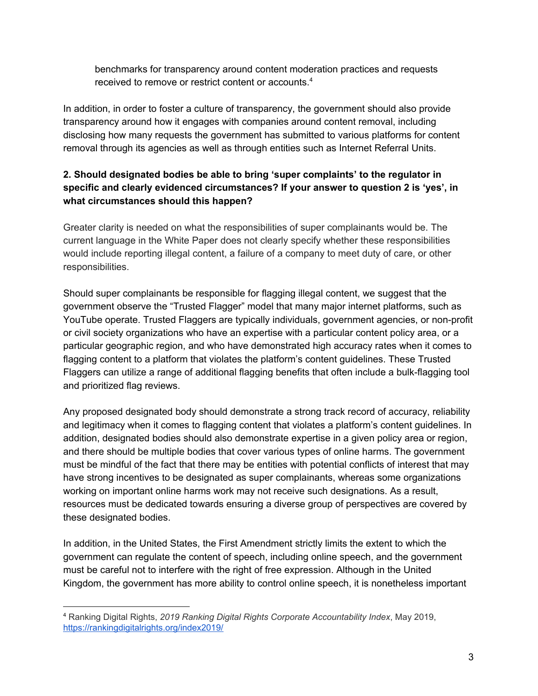benchmarks for transparency around content moderation practices and requests received to remove or restrict content or accounts. 4

In addition, in order to foster a culture of transparency, the government should also provide transparency around how it engages with companies around content removal, including disclosing how many requests the government has submitted to various platforms for content removal through its agencies as well as through entities such as Internet Referral Units.

# **2. Should designated bodies be able to bring 'super complaints' to the regulator in specific and clearly evidenced circumstances? If your answer to question 2 is 'yes', in what circumstances should this happen?**

Greater clarity is needed on what the responsibilities of super complainants would be. The current language in the White Paper does not clearly specify whether these responsibilities would include reporting illegal content, a failure of a company to meet duty of care, or other responsibilities.

Should super complainants be responsible for flagging illegal content, we suggest that the government observe the "Trusted Flagger" model that many major internet platforms, such as YouTube operate. Trusted Flaggers are typically individuals, government agencies, or non-profit or civil society organizations who have an expertise with a particular content policy area, or a particular geographic region, and who have demonstrated high accuracy rates when it comes to flagging content to a platform that violates the platform's content guidelines. These Trusted Flaggers can utilize a range of additional flagging benefits that often include a bulk-flagging tool and prioritized flag reviews.

Any proposed designated body should demonstrate a strong track record of accuracy, reliability and legitimacy when it comes to flagging content that violates a platform's content guidelines. In addition, designated bodies should also demonstrate expertise in a given policy area or region, and there should be multiple bodies that cover various types of online harms. The government must be mindful of the fact that there may be entities with potential conflicts of interest that may have strong incentives to be designated as super complainants, whereas some organizations working on important online harms work may not receive such designations. As a result, resources must be dedicated towards ensuring a diverse group of perspectives are covered by these designated bodies.

In addition, in the United States, the First Amendment strictly limits the extent to which the government can regulate the content of speech, including online speech, and the government must be careful not to interfere with the right of free expression. Although in the United Kingdom, the government has more ability to control online speech, it is nonetheless important

<sup>4</sup> Ranking Digital Rights, *2019 Ranking Digital Rights Corporate Accountability Index*, May 2019, <https://rankingdigitalrights.org/index2019/>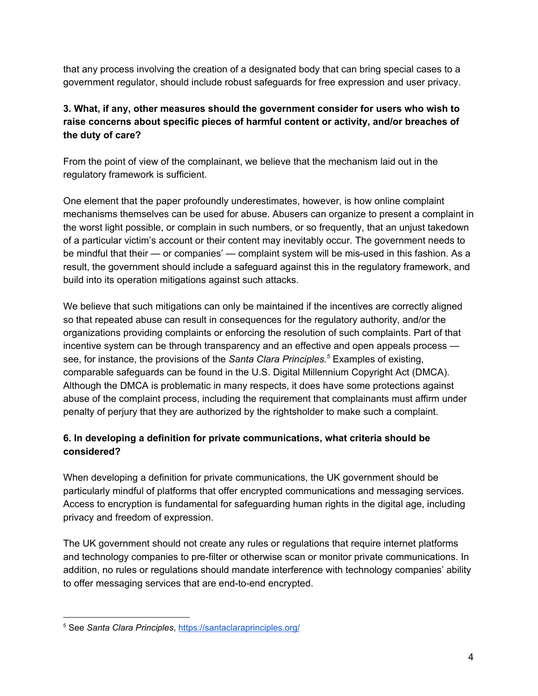that any process involving the creation of a designated body that can bring special cases to a government regulator, should include robust safeguards for free expression and user privacy.

# **3. What, if any, other measures should the government consider for users who wish to raise concerns about specific pieces of harmful content or activity, and/or breaches of the duty of care?**

From the point of view of the complainant, we believe that the mechanism laid out in the regulatory framework is sufficient.

One element that the paper profoundly underestimates, however, is how online complaint mechanisms themselves can be used for abuse. Abusers can organize to present a complaint in the worst light possible, or complain in such numbers, or so frequently, that an unjust takedown of a particular victim's account or their content may inevitably occur. The government needs to be mindful that their — or companies' — complaint system will be mis-used in this fashion. As a result, the government should include a safeguard against this in the regulatory framework, and build into its operation mitigations against such attacks.

We believe that such mitigations can only be maintained if the incentives are correctly aligned so that repeated abuse can result in consequences for the regulatory authority, and/or the organizations providing complaints or enforcing the resolution of such complaints. Part of that incentive system can be through transparency and an effective and open appeals process see, for instance, the provisions of the *Santa Clara Principles.* Examples of existing, *5* comparable safeguards can be found in the U.S. Digital Millennium Copyright Act (DMCA). Although the DMCA is problematic in many respects, it does have some protections against abuse of the complaint process, including the requirement that complainants must affirm under penalty of perjury that they are authorized by the rightsholder to make such a complaint.

# **6. In developing a definition for private communications, what criteria should be considered?**

When developing a definition for private communications, the UK government should be particularly mindful of platforms that offer encrypted communications and messaging services. Access to encryption is fundamental for safeguarding human rights in the digital age, including privacy and freedom of expression.

The UK government should not create any rules or regulations that require internet platforms and technology companies to pre-filter or otherwise scan or monitor private communications. In addition, no rules or regulations should mandate interference with technology companies' ability to offer messaging services that are end-to-end encrypted.

<sup>5</sup> See *Santa Clara Principles*, <https://santaclaraprinciples.org/>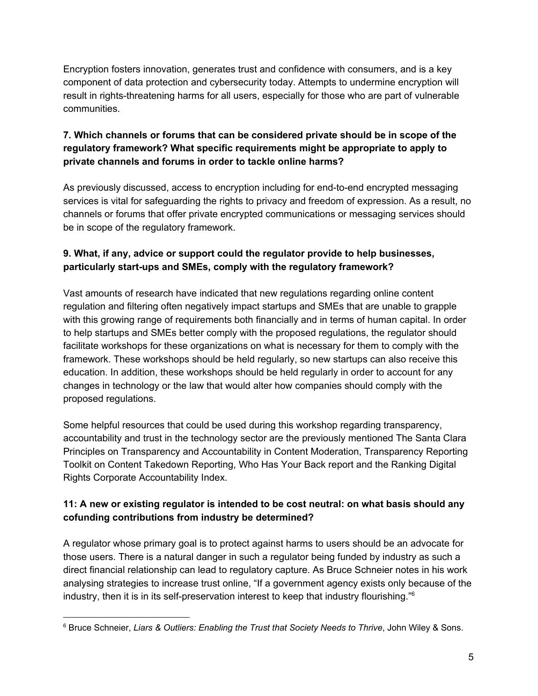Encryption fosters innovation, generates trust and confidence with consumers, and is a key component of data protection and cybersecurity today. Attempts to undermine encryption will result in rights-threatening harms for all users, especially for those who are part of vulnerable communities.

## **7. Which channels or forums that can be considered private should be in scope of the regulatory framework? What specific requirements might be appropriate to apply to private channels and forums in order to tackle online harms?**

As previously discussed, access to encryption including for end-to-end encrypted messaging services is vital for safeguarding the rights to privacy and freedom of expression. As a result, no channels or forums that offer private encrypted communications or messaging services should be in scope of the regulatory framework.

### **9. What, if any, advice or support could the regulator provide to help businesses, particularly start-ups and SMEs, comply with the regulatory framework?**

Vast amounts of research have indicated that new regulations regarding online content regulation and filtering often negatively impact startups and SMEs that are unable to grapple with this growing range of requirements both financially and in terms of human capital. In order to help startups and SMEs better comply with the proposed regulations, the regulator should facilitate workshops for these organizations on what is necessary for them to comply with the framework. These workshops should be held regularly, so new startups can also receive this education. In addition, these workshops should be held regularly in order to account for any changes in technology or the law that would alter how companies should comply with the proposed regulations.

Some helpful resources that could be used during this workshop regarding transparency, accountability and trust in the technology sector are the previously mentioned The Santa Clara Principles on Transparency and Accountability in Content Moderation, Transparency Reporting Toolkit on Content Takedown Reporting, Who Has Your Back report and the Ranking Digital Rights Corporate Accountability Index.

# **11: A new or existing regulator is intended to be cost neutral: on what basis should any cofunding contributions from industry be determined?**

A regulator whose primary goal is to protect against harms to users should be an advocate for those users. There is a natural danger in such a regulator being funded by industry as such a direct financial relationship can lead to regulatory capture. As Bruce Schneier notes in his work analysing strategies to increase trust online, "If a government agency exists only because of the industry, then it is in its self-preservation interest to keep that industry flourishing." 6

<sup>6</sup> Bruce Schneier[,](http://www.wiley.com/WileyCDA/WileyTitle/productCd-1118143302,descCd-authorInfo.html) *Liars & Outliers: Enabling the Trust that Society Needs to Thrive*, John Wiley & Sons.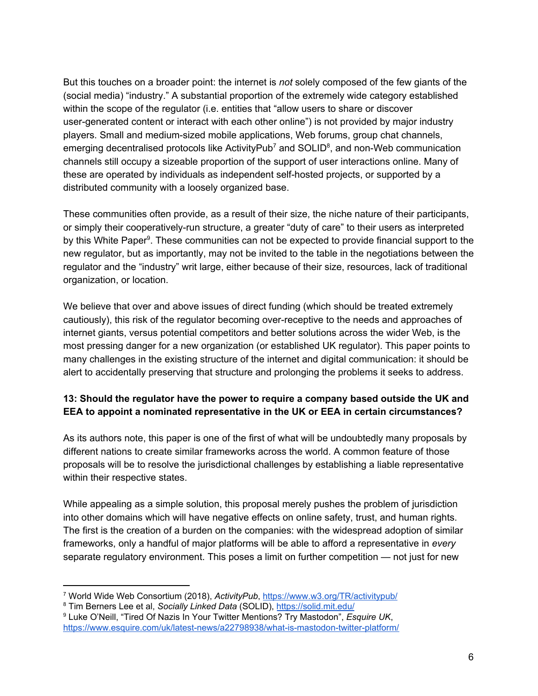But this touches on a broader point: the internet is *not* solely composed of the few giants of the (social media) "industry." A substantial proportion of the extremely wide category established within the scope of the regulator (i.e. entities that "allow users to share or discover user-generated content or interact with each other online") is not provided by major industry players. Small and medium-sized mobile applications, Web forums, group chat channels, emerging decentralised protocols like ActivityPub<sup>7</sup> and SOLID<sup>8</sup>, and non-Web communication channels still occupy a sizeable proportion of the support of user interactions online. Many of these are operated by individuals as independent self-hosted projects, or supported by a distributed community with a loosely organized base.

These communities often provide, as a result of their size, the niche nature of their participants, or simply their cooperatively-run structure, a greater "duty of care" to their users as interpreted by this White Paper<sup>9</sup>. These communities can not be expected to provide financial support to the new regulator, but as importantly, may not be invited to the table in the negotiations between the regulator and the "industry" writ large, either because of their size, resources, lack of traditional organization, or location.

We believe that over and above issues of direct funding (which should be treated extremely cautiously), this risk of the regulator becoming over-receptive to the needs and approaches of internet giants, versus potential competitors and better solutions across the wider Web, is the most pressing danger for a new organization (or established UK regulator). This paper points to many challenges in the existing structure of the internet and digital communication: it should be alert to accidentally preserving that structure and prolonging the problems it seeks to address.

# **13: Should the regulator have the power to require a company based outside the UK and EEA to appoint a nominated representative in the UK or EEA in certain circumstances?**

As its authors note, this paper is one of the first of what will be undoubtedly many proposals by different nations to create similar frameworks across the world. A common feature of those proposals will be to resolve the jurisdictional challenges by establishing a liable representative within their respective states.

While appealing as a simple solution, this proposal merely pushes the problem of jurisdiction into other domains which will have negative effects on online safety, trust, and human rights. The first is the creation of a burden on the companies: with the widespread adoption of similar frameworks, only a handful of major platforms will be able to afford a representative in *every* separate regulatory environment. This poses a limit on further competition — not just for new

<sup>7</sup> World Wide Web Consortium (2018), *ActivityPub*, <https://www.w3.org/TR/activitypub/>

<sup>8</sup> Tim Berners Lee et al, *Socially Linked Data* (SOLID), <https://solid.mit.edu/>

<sup>9</sup> Luke O'Neill, "Tired Of Nazis In Your Twitter Mentions? Try Mastodon", *Esquire UK*, <https://www.esquire.com/uk/latest-news/a22798938/what-is-mastodon-twitter-platform/>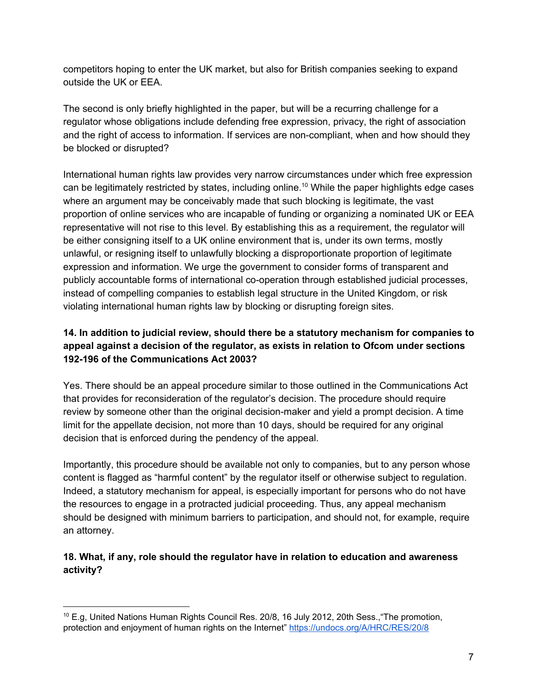competitors hoping to enter the UK market, but also for British companies seeking to expand outside the UK or EEA.

The second is only briefly highlighted in the paper, but will be a recurring challenge for a regulator whose obligations include defending free expression, privacy, the right of association and the right of access to information. If services are non-compliant, when and how should they be blocked or disrupted?

International human rights law provides very narrow circumstances under which free expression can be legitimately restricted by states, including online.<sup>10</sup> While the paper highlights edge cases where an argument may be conceivably made that such blocking is legitimate, the vast proportion of online services who are incapable of funding or organizing a nominated UK or EEA representative will not rise to this level. By establishing this as a requirement, the regulator will be either consigning itself to a UK online environment that is, under its own terms, mostly unlawful, or resigning itself to unlawfully blocking a disproportionate proportion of legitimate expression and information. We urge the government to consider forms of transparent and publicly accountable forms of international co-operation through established judicial processes, instead of compelling companies to establish legal structure in the United Kingdom, or risk violating international human rights law by blocking or disrupting foreign sites.

## **14. In addition to judicial review, should there be a statutory mechanism for companies to appeal against a decision of the regulator, as exists in relation to Ofcom under sections 192-196 of the Communications Act 2003?**

Yes. There should be an appeal procedure similar to those outlined in the Communications Act that provides for reconsideration of the regulator's decision. The procedure should require review by someone other than the original decision-maker and yield a prompt decision. A time limit for the appellate decision, not more than 10 days, should be required for any original decision that is enforced during the pendency of the appeal.

Importantly, this procedure should be available not only to companies, but to any person whose content is flagged as "harmful content" by the regulator itself or otherwise subject to regulation. Indeed, a statutory mechanism for appeal, is especially important for persons who do not have the resources to engage in a protracted judicial proceeding. Thus, any appeal mechanism should be designed with minimum barriers to participation, and should not, for example, require an attorney.

# **18. What, if any, role should the regulator have in relation to education and awareness activity?**

<sup>10</sup> E.g, United Nations Human Rights Council Res. 20/8, 16 July 2012, 20th Sess.,"The promotion, protection and enjoyment of human rights on the Internet" <https://undocs.org/A/HRC/RES/20/8>